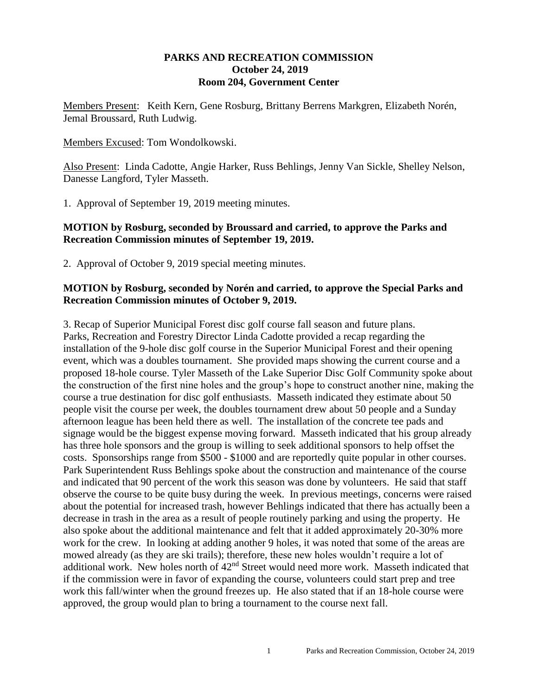#### **PARKS AND RECREATION COMMISSION October 24, 2019 Room 204, Government Center**

Members Present: Keith Kern, Gene Rosburg, Brittany Berrens Markgren, Elizabeth Norén, Jemal Broussard, Ruth Ludwig.

Members Excused: Tom Wondolkowski.

Also Present: Linda Cadotte, Angie Harker, Russ Behlings, Jenny Van Sickle, Shelley Nelson, Danesse Langford, Tyler Masseth.

1. Approval of September 19, 2019 meeting minutes.

### **MOTION by Rosburg, seconded by Broussard and carried, to approve the Parks and Recreation Commission minutes of September 19, 2019.**

2. Approval of October 9, 2019 special meeting minutes.

## **MOTION by Rosburg, seconded by Norén and carried, to approve the Special Parks and Recreation Commission minutes of October 9, 2019.**

3. Recap of Superior Municipal Forest disc golf course fall season and future plans. Parks, Recreation and Forestry Director Linda Cadotte provided a recap regarding the installation of the 9-hole disc golf course in the Superior Municipal Forest and their opening event, which was a doubles tournament. She provided maps showing the current course and a proposed 18-hole course. Tyler Masseth of the Lake Superior Disc Golf Community spoke about the construction of the first nine holes and the group's hope to construct another nine, making the course a true destination for disc golf enthusiasts. Masseth indicated they estimate about 50 people visit the course per week, the doubles tournament drew about 50 people and a Sunday afternoon league has been held there as well. The installation of the concrete tee pads and signage would be the biggest expense moving forward. Masseth indicated that his group already has three hole sponsors and the group is willing to seek additional sponsors to help offset the costs. Sponsorships range from \$500 - \$1000 and are reportedly quite popular in other courses. Park Superintendent Russ Behlings spoke about the construction and maintenance of the course and indicated that 90 percent of the work this season was done by volunteers. He said that staff observe the course to be quite busy during the week. In previous meetings, concerns were raised about the potential for increased trash, however Behlings indicated that there has actually been a decrease in trash in the area as a result of people routinely parking and using the property. He also spoke about the additional maintenance and felt that it added approximately 20-30% more work for the crew. In looking at adding another 9 holes, it was noted that some of the areas are mowed already (as they are ski trails); therefore, these new holes wouldn't require a lot of additional work. New holes north of  $42<sup>nd</sup>$  Street would need more work. Masseth indicated that if the commission were in favor of expanding the course, volunteers could start prep and tree work this fall/winter when the ground freezes up. He also stated that if an 18-hole course were approved, the group would plan to bring a tournament to the course next fall.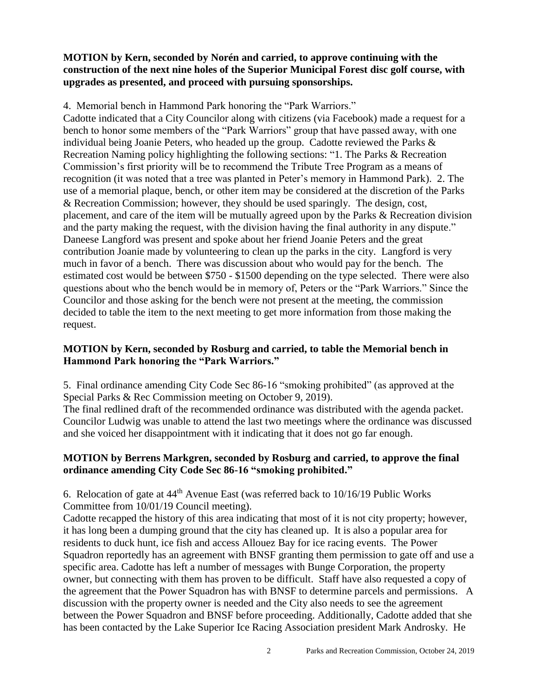## **MOTION by Kern, seconded by Norén and carried, to approve continuing with the construction of the next nine holes of the Superior Municipal Forest disc golf course, with upgrades as presented, and proceed with pursuing sponsorships.**

4. Memorial bench in Hammond Park honoring the "Park Warriors."

Cadotte indicated that a City Councilor along with citizens (via Facebook) made a request for a bench to honor some members of the "Park Warriors" group that have passed away, with one individual being Joanie Peters, who headed up the group. Cadotte reviewed the Parks  $\&$ Recreation Naming policy highlighting the following sections: "1. The Parks & Recreation Commission's first priority will be to recommend the Tribute Tree Program as a means of recognition (it was noted that a tree was planted in Peter's memory in Hammond Park). 2. The use of a memorial plaque, bench, or other item may be considered at the discretion of the Parks & Recreation Commission; however, they should be used sparingly. The design, cost, placement, and care of the item will be mutually agreed upon by the Parks & Recreation division and the party making the request, with the division having the final authority in any dispute." Daneese Langford was present and spoke about her friend Joanie Peters and the great contribution Joanie made by volunteering to clean up the parks in the city. Langford is very much in favor of a bench. There was discussion about who would pay for the bench. The estimated cost would be between \$750 - \$1500 depending on the type selected. There were also questions about who the bench would be in memory of, Peters or the "Park Warriors." Since the Councilor and those asking for the bench were not present at the meeting, the commission decided to table the item to the next meeting to get more information from those making the request.

# **MOTION by Kern, seconded by Rosburg and carried, to table the Memorial bench in Hammond Park honoring the "Park Warriors."**

5. Final ordinance amending City Code Sec 86-16 "smoking prohibited" (as approved at the Special Parks & Rec Commission meeting on October 9, 2019).

The final redlined draft of the recommended ordinance was distributed with the agenda packet. Councilor Ludwig was unable to attend the last two meetings where the ordinance was discussed and she voiced her disappointment with it indicating that it does not go far enough.

## **MOTION by Berrens Markgren, seconded by Rosburg and carried, to approve the final ordinance amending City Code Sec 86-16 "smoking prohibited."**

6. Relocation of gate at  $44<sup>th</sup>$  Avenue East (was referred back to  $10/16/19$  Public Works Committee from 10/01/19 Council meeting).

Cadotte recapped the history of this area indicating that most of it is not city property; however, it has long been a dumping ground that the city has cleaned up. It is also a popular area for residents to duck hunt, ice fish and access Allouez Bay for ice racing events. The Power Squadron reportedly has an agreement with BNSF granting them permission to gate off and use a specific area. Cadotte has left a number of messages with Bunge Corporation, the property owner, but connecting with them has proven to be difficult. Staff have also requested a copy of the agreement that the Power Squadron has with BNSF to determine parcels and permissions. A discussion with the property owner is needed and the City also needs to see the agreement between the Power Squadron and BNSF before proceeding. Additionally, Cadotte added that she has been contacted by the Lake Superior Ice Racing Association president Mark Androsky. He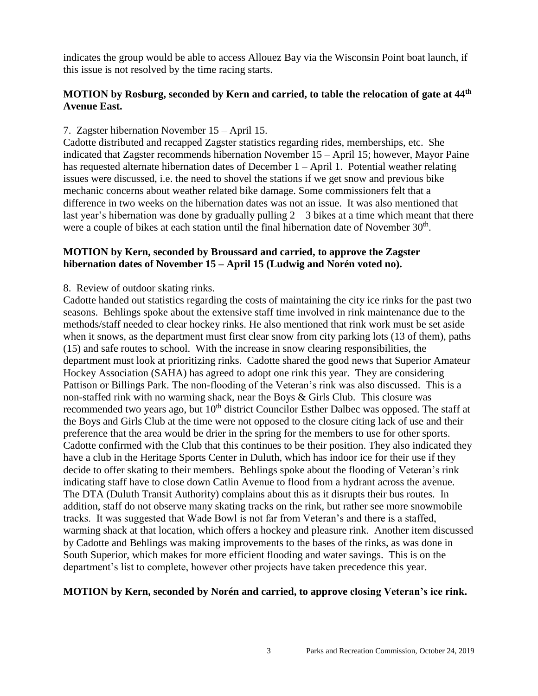indicates the group would be able to access Allouez Bay via the Wisconsin Point boat launch, if this issue is not resolved by the time racing starts.

## **MOTION by Rosburg, seconded by Kern and carried, to table the relocation of gate at 44th Avenue East.**

### 7. Zagster hibernation November 15 – April 15.

Cadotte distributed and recapped Zagster statistics regarding rides, memberships, etc. She indicated that Zagster recommends hibernation November 15 – April 15; however, Mayor Paine has requested alternate hibernation dates of December 1 – April 1. Potential weather relating issues were discussed, i.e. the need to shovel the stations if we get snow and previous bike mechanic concerns about weather related bike damage. Some commissioners felt that a difference in two weeks on the hibernation dates was not an issue. It was also mentioned that last year's hibernation was done by gradually pulling  $2 - 3$  bikes at a time which meant that there were a couple of bikes at each station until the final hibernation date of November  $30<sup>th</sup>$ .

### **MOTION by Kern, seconded by Broussard and carried, to approve the Zagster hibernation dates of November 15 – April 15 (Ludwig and Norén voted no).**

#### 8. Review of outdoor skating rinks.

Cadotte handed out statistics regarding the costs of maintaining the city ice rinks for the past two seasons. Behlings spoke about the extensive staff time involved in rink maintenance due to the methods/staff needed to clear hockey rinks. He also mentioned that rink work must be set aside when it snows, as the department must first clear snow from city parking lots (13 of them), paths (15) and safe routes to school. With the increase in snow clearing responsibilities, the department must look at prioritizing rinks. Cadotte shared the good news that Superior Amateur Hockey Association (SAHA) has agreed to adopt one rink this year. They are considering Pattison or Billings Park. The non-flooding of the Veteran's rink was also discussed. This is a non-staffed rink with no warming shack, near the Boys & Girls Club. This closure was recommended two years ago, but 10<sup>th</sup> district Councilor Esther Dalbec was opposed. The staff at the Boys and Girls Club at the time were not opposed to the closure citing lack of use and their preference that the area would be drier in the spring for the members to use for other sports. Cadotte confirmed with the Club that this continues to be their position. They also indicated they have a club in the Heritage Sports Center in Duluth, which has indoor ice for their use if they decide to offer skating to their members. Behlings spoke about the flooding of Veteran's rink indicating staff have to close down Catlin Avenue to flood from a hydrant across the avenue. The DTA (Duluth Transit Authority) complains about this as it disrupts their bus routes. In addition, staff do not observe many skating tracks on the rink, but rather see more snowmobile tracks. It was suggested that Wade Bowl is not far from Veteran's and there is a staffed, warming shack at that location, which offers a hockey and pleasure rink. Another item discussed by Cadotte and Behlings was making improvements to the bases of the rinks, as was done in South Superior, which makes for more efficient flooding and water savings. This is on the department's list to complete, however other projects have taken precedence this year.

#### **MOTION by Kern, seconded by Norén and carried, to approve closing Veteran's ice rink.**